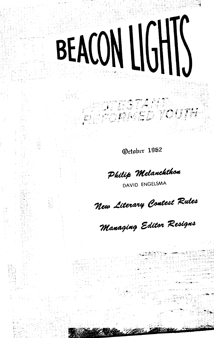### October 1962

PEOTESTANT

BEACON LIGHTS

Philip Melanchthon

DAVID ENGELSMA

New Literary Contest Rules

Managing Editor Resigns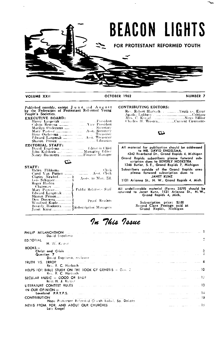

### In This Issue

| David Engelsma                                                                                                                                                                                                                                |  |                                                                                                                    |             |
|-----------------------------------------------------------------------------------------------------------------------------------------------------------------------------------------------------------------------------------------------|--|--------------------------------------------------------------------------------------------------------------------|-------------|
| EDITORIAL ANNUAL ANNUAL ANNUAL<br>H. W. Kuper                                                                                                                                                                                                 |  |                                                                                                                    |             |
| $BOOKS -$<br>Christ and Crisis and Alling and Alling and Alling and Alling and Alling and Alling and Alling and                                                                                                                               |  |                                                                                                                    | ه است. است. |
| Question 7 and the same same and same and an article and an article of the same of the same of the<br>David Engelsma, reviewer                                                                                                                |  |                                                                                                                    |             |
| Rev. R. C. Harbach                                                                                                                                                                                                                            |  |                                                                                                                    |             |
| HELPS FOR BIBLE STUDY ON THE BOOK OF GENESIS - Gen. 2<br>Rev. R. C. Harbach                                                                                                                                                                   |  | and the company of the company of the COD and the MO                                                               |             |
| SECULAR MUSIC $=$ GOOD OR BAD?<br>Miss H. J. Kuiper                                                                                                                                                                                           |  | and the manual contract 12.                                                                                        |             |
| LITERATURE CONTEST RULES <b>And the contest of the contest of the contest of the contest of the CONTEST RULES</b><br>IN OUR OPINION -                                                                                                         |  |                                                                                                                    |             |
|                                                                                                                                                                                                                                               |  | the company of the company of the company of the light of the company of the company of the company of the company |             |
| 15 سال المسلم وللمساعد المالي المساعد المساعد المسلم المسلمين المساعي للسلم في المساعد المسلم المسلم<br><b>CONTRIBUTION</b><br>Hope Protestant Reformed Church Isobel, So, Dakoto                                                             |  |                                                                                                                    |             |
| NEWS FROM, FOR, AND ABOUT OUR CHURCHES. And a state of the contract of the contract of the contract of the contract of the contract of the contract of the contract of the contract of the contract of the contract of the con<br>Lois Kregel |  |                                                                                                                    | 15          |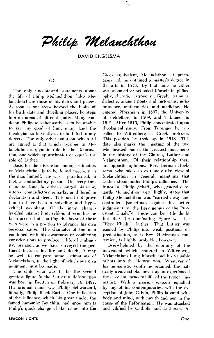Philip Melanchthon

**DAVID ENGELSMA** 

#### $(1)$

The only uncontested statements about the life of Philip Melanchthon (also Melancthon) are those of his dates and places. As soon as one steps bevond the limits of his birth date and dwelling places, he steps into an arena of bitter dispute. Many condemn Philip so vehemently as to be unable to say any good of him; many laud the theologian so fervently as to be blind to any defects. The only other point on which all are agreed is that which ascribes to Melanchthon a gigantic role in the Reformation, one which approximates or equals the role of Luther.

Basis for the dissension among estimators of Melanchthon is to be found precisely in the man himself. He was a paradoxical, in fact, a contradictory person. On every fundamental issue, he either changed his view, uttered contradictory remarks, or differed in declaration and deed. This need not prove him to have been a sniveling and hypocritical sycophant. Of the many charges levelled against him, seldom if ever has he been accused of courting the favor of those who were in a position to advance his own personal cause. The character of the man combined with his awareness of conflicting considerations to produce a life of ambiguity. As soon as we have surveyed the pertinent facts of his life and death, it may be well to compare some estimations of Melanchthon, in the light of which our own judgment must be made.

The child who was to be the second greatest figure in the Lutheran Reformation was born in Bretten on February 16, 1497. His original name was Philip Schwarzerd, literally, Philip Black Earth. One indication of the influence which his great uncle, the famed humanist Reuchlin, had upon him is Philip's quick change of the name into the

Greek equivalent, Melanchthon. A precocious lad. he obtained a master's degree in the arts in 1513. By that time he either was schooled or schooled himself in philosophy, rhetoric, astronomy, Greek, grammar, dialectic, ancient poets and historians, jurisprudence, mathematics, and medicine. He entered Pforzheim in 1507, the University of Heidelberg in 1509, and Tubingen in 1512. After 1516, Philip concentrated upon theological study. From Tubingen he was called to Wittenberg as Greek professor. This position he took up in 1518. This date also marks the meeting of the two who headed one of the greatest movements in the history of the Church, Luther and Melanchthon. Of their relationship there are opposite opinions. Rev. Herman Hoeksema, who takes an extremely dim view of Melanchthon in general, maintains that Luther stood under Philip's influence.<sup>1</sup> The historian, Philip Schaff, who generally regards Melanchthon very highly, states that Philip Melanchthon was "carried away and controlled (sometimes against his better judgment) by the fiery genius of the Protestant Elijah."<sup>2</sup> There can be little doubt but that the dominating figure was the "fiery Elijah," Luther. That Luther was cajoled by Philip into weak positions on predestination, as is Rev. Hoeksema's contention, is highly probable, however.

Overwhelmed by the enormity of the movement which centered in Wittenberg, Melanchthon flung himself and his valuable talents into the Reformation. Whatever of his humanistic youth he retained, the naturally irenic scholar never again experienced the easy and peaceful life of the typical humanist. With a passion searcely equalled by any of his contemporaries, with the exception of John Calvin, Philip labored with body and mind, with mouth and pen in the cause of the Reformation. He was attacked and vilified by Catholic and Lutheran. At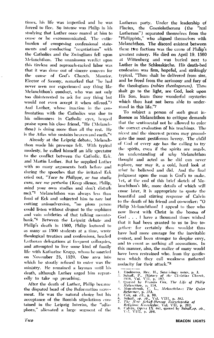times, his life was imperiled and he was forced to flee. So intense was Philip in his studying that Luther once roared at him to cease or be excommunicated. The entire burden of composing confessional statements and conducting "negotiations" with the Catholics and the Zwinglians fell upon Melanchthon. The unanimous verdict upon this tireless and reproach-racked labor was that it was done out of sincere concern for the cause of God's Church. Maurice. Elector of Saxony, remarked that "he had never seen nor experienced any thing like Melanchthon's conduct, who was not only too disinterested to ask for any thing but would not even accept it when offered."3 And Luther, whose inaction in the confrontation with the Catholics was due to his odiousness in Catholic eyes, heaped praise upon his close friend, "He (Melanchthon) is doing more than all the rest. He is the Atlas who sustains heaven and earth."4

Already at the Leipzig debate, Melanchthon made his presence felt. With typical modesty, he called himself an idle spectator to the conflict between the Catholic, Eck, and Martin Luther. But he supplied Luther with so many arguments both before and during the speeches that the irritated Eck cried out, "Tace tu Philippe, ac tua studia cura, nec me perturba (Keep silence, Philip, mind your own studies and don't distarb me)."5 Melanchthon was always less than fond of Eck and subjected him to rare but cutting animadversion, "no pious person could listen without disgust to the sophisms and vain subtleties of that talking mountebank."6 Between the Leipzig debate and Philip's death in 1560, Philip lectured to as many as 1500 students at a time, wrote theological treatises and confessions, headed Lutheran delegations at frequent colloquies, and attempted to live some kind of family life with Katharine Krapp, whom he married on November 25, 1520. One area into which he stoutly refused to enter was the ministry. He remained a layman until his death, although Luther urged him repeatedly to take up preaching.

After the death of Luther, Philip became the disputed head of the Reformation movement. He was the natural choice but his acceptance of the Romish stipulations contained in the Leipzig Interim, the "adiaphora," alienated a large segment of the

Lutheran party. Under the leadership of Flacius, the Gnesiolutherans (the "real Lutherans") separated themselves from the "Philippists," who aligned themselves with Melanchthon. The discord existent between these two factions was the cause of Philip's greatest misery. He died on April 19, 1560 at Wittenberg and was buried next to Luther in the Schlosskirche. His death-bed confession was firm, hopeful, and strikingly typical, "Thou shalt be delivered from sins, and be freed from the acrimony and fury of the theologians (rabies theologorum). Thou shalt go to the light, see God, look upon His Son, learn those wonderful mysteries which thou hast not been able to understand in this life."7

To subject a person of such great influence as Melanchthon to critique demands that the sentimental not be allowed to color the correct evaluation of his teachings. The nicest and the sincerest person may promulgate the most pestiferous heresy. The child of God of every age has the calling to try the spirits, even if the spirits are angels. An understanding of why Melanchthon thought and acted as he did can never replace, nor may it, a cold, hard look at what he believed and did. And the final judgment upon the man is God's to make. Yet, at the end of this brief sketch of Melanchthon's life, more details of which will come later, it is appropriate to quote the beautiful and stirring response of Calvin to the death of his friend and co-worker: "O Philip Melanchthon! I appeal to thee who now livest with Christ in the bosom of God . . . 1 have a thousand times wished that it had been granted to us to live together: for certainly thou wouldst thus have had more courage for the inevitable contest, and been stronger to despise envy, and to count as nothing all accusations. In this manner, also, the malice of many would have been restrained who, from thy gentleness which they call weakness gathered audacity for their attack."<sup>8</sup>

- 1. Hoeksema, Rev. H., Soteriology notes, p.  $\mathbf{3}$
- Hoeksema, Rev. H., Soteriology notes, p. 3.<br>Schaff, P., History of the Christian Church,<br>1910, Vol. VII, p. 192.<br>Quoted by Francis Cox. The Life of Philip Manuchrene, p. 114,<br>Manuchrene, C. L., Melanchthou: The Quiet<br>Refor  $\mathbf{2}$  $\mathbf{z}_{\perp}$
- $4.$
- $\overline{\phantom{a}}$
- 
- 7.
	-
- 8.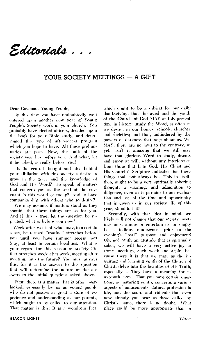Editorials .

#### YOUR SOCIETY MEETINGS - A GIFT

Dear Covenant Young People,

By this time you have undoubtedly well entered upon another new year of Young People's Society work in your church. You probably have elected officers, decided upon the book for your Bible study, and determined the type of after-recess program which you hope to have. All these preliminaries are past. Now, the bulk of the society year lies before you. And what, let it be asked, is really before you?

Is the central thought and idea behind your affiliation with this society a desire to grow in the grace and the knowledge of God and His Word? To speak of matters that concern you as the seed of the covenant in this world of today? And to have companionship with others who so desire?

We may assume, if matters stand as they should, that these things are so for you. And if this is true, let the question be repeated, what is before you now?

Week after week of what may, in a certain sense, be termed "routine" stretches before you until you have summer recess next May, at least in certain localities. What is your regard for this season of society life that stretches week after week, meeting after meeting, into the future? You must answer this, for it is the answer to this question that will determine the nature of the answers to the initial questions asked above.

First, there is a matter that is often overlooked, especially by us as young people who do not possess as great a store of experience and understanding as our parents, which ought to be called to our attention. That matter is this: It is a wondrous fact,

which ought to be a subject for our daily thanksgiving, that the aged and the youth of the Church of God MAY at this present time in history, study the Word, as often as we desire, in our homes, schools, churches and societies; and that, unhindered by the powers of darkness that rage about us. We MAY; there are no laws to the contrary, as vet. Isn't it amazing that we still may have that glorious Word to study, discuss and enjoy at will, without any interference from those that hate God, His Christ and His Church? Scripture indicates that these things shall not always be. This in itself, then, ought to be a very spiritually sobering thought, a warning, and admonition to diligence, even as it pertains to our evaluation and use of the time and opportunity that is given us in our society life of this year, shouldn't it?

Secondly, with that idea in mind, we likely will not clamor that our society meetings must amuse or entertain us, or simply be a tedious rendezvous, prior to the evening's "real" purpose and enjoyment! Oh, no! With an attitude that is spiritually sober, we will have a very active joy in these meetings, each week and again, because there it is that we may, as the inquiring and learning youth of the Church of Christ, delve into the beauties of His Truth, especially as they have a meaning for us as youth, now. That you have certain questions, as maturing youth, concerning various aspects of amusements, dating, profession in life, and the scorn and ridicule that even now already you bear as those called by Christ's name, there is no doubt. What place could be more appropriate than in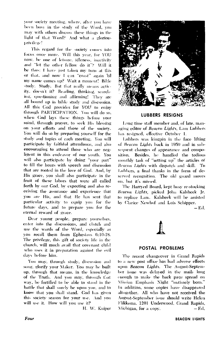your society meeting, where, after you have been busy in the study of the Word, you may with others discuss these things in the light of that Word? And what a glorious privilege!

This regard for the society comes into focus once more. Will this year, for YOU now, be one of leisure, idleness, inactivity and "let the other fellow do it"? Will it be thus: I have just taken my turn at this or that, and now I can "coast" again 'til my name comes up? Wait a moment! Bible study. Study. But that really means activity, doesn't it? Reading, thinking, searching, questioning and affirming! They are all bound up in bible study and discussion. All this God provides for YOU to enjoy through PARTICIPATION. You will do so, when God lays these things before your mind, through prayer, to seek His blessing on your efforts and those of the society. You will do so by preparing yourself for the study and topics of each meeting. You will participate by faithful attendance, and also encouraging to attend those who are negligent in this endeavor of our youth. You will also participate by doing "your part" to fill the hours with speech and discussion that are rooted in the love of God. And, by His grace, you shall also participate in the fruit of these labors that were all called forth by our God, by expecting and also receiving the assurance and experience that you are His, and that He has sent that particular activity to equip you for the future days, and to prepare you for the eternal reward of grace.

Dear young people, prepare yourselves, enter into the discussions, and clutch and use the words of the Word, especially as you recall them from Ephesians 6:10-18. The privilege, this gift of society life in the church, will much avail that covenant child who uses it in preparation against the evil days before him.

You may, through study, discussion and song, glorify your Maker. You may be built up, through that means, in the knowledge of the Truth. And you may, through that way, be fortified to be able to stand in the battle that shall surely be upon you, and to know that you shall stand. God has given this society season for your use. And you will use it. How will you use it?

H. W. Kuiper



#### **LUBBERS RESIGNS**

Long time staff member and, of late, managing editor of Beacon Lights, Lam Lubbers has resigned, effective October 1.

Lubbers was kingpin in the face lifting of Beacon Lights back in 1959 and in subsequent changes of appearance and compo-Besides, he handled the tedious sition. monthly task of "setting up" the articles of Beacon Lights with dispatch and skill. To Lubbers, a final thanks in the form of deserved recognition. The old guard moves on, but it's missed.

The Harryed Board, kept busy re-stocking Beacon Lights, picked John Kalsbeek Jr. to replace Lam. Kalsbeek will be assisted by Clarice Newhof and Lois Schipper.

– Ed.

#### **POSTAL PROBLEMS**

The recent changeover in Grand Rapids to a new post office has had adverse effects upon Beacon Lights. The August-September issue was delaved in the mails long enough to make the back page spread on Mission Emphasis Night "untimely born." In addition, some copies have disappeared altogether. All who have not received the August-September issue should write Helen Flikkema, 1201 Underwood, Grand Rapids, Michigan, for a copy. – Ed.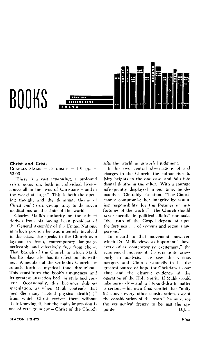# BOOKS



#### **Christ and Crisis**

CHARLES MALIK - Eerdnians - 101 pp. -\$3.00

"There is a vast *separating*, a profound crisis, going on, both in individual lives above all in the lives of Christians - and in the world at large." This is both the opening thought and the dominant theme of Christ and Crisis, giving unity to the seven meditations on the state of the world.

Charles Malik's authority on the subject derives from his having been president of the General Assembly of the United Nations, in which position he was intensely involved in the crisis. He speaks to the Church as a layman in fresh, contemporary language, noticeably and effectively free from cliche. That branch of the Church in which Malik has his place also has its effect on his writing. A member of the Orthodox Church, he sounds forth a mystical tone throughout. This constitutes the book's uniqueness and its greatest attraction both in style and content. Occasionally, this becomes dubious speculation, as when Malik contends that men die many "actual physical death(s)" from which Christ revives them without their knowing it, but the main impression is one of rare grandeur – Christ of the Church sifts the world in powerful judgment.

In his two central observations of and charges to the Church, the author rises to lofty heights in the one case, and falls into dismal depths in the other. With a courage infrequently displayed in our time, he demands a "Churchly" isolation. "The Church cannot compromise her integrity by assuming responsibility for the fortunes or misfortunes of the world." "The Church should Lever meddle in political affairs" nor make "the truth of the Gospel dependent upon the fortunes . . . of systems and regimes and persons."

In regard to that movement, however, which Dr. Malik views as important "above every other contemporary excitement," the ecumenical movement, he errs quite grievously in analysis. He sees the various mergers and Church Councils to be the greatest source of hope for Christians in our time and the clearest evidence of the operation of the Holy Spirit. If Malik would take seriously - and a life-and-death matter is serious - his own final verdict that "unity (is) above every other consideration, except the consideration of the truth," he must see the ecumenical frenzy to be just the opposite. D.LE.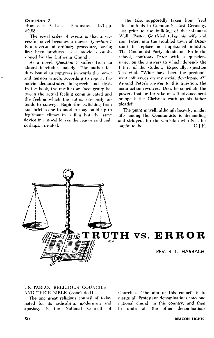#### Question 7

ROBERT E. A. LEE  $-$  Eerdmans  $-$  133 rp. \$2.95

The usual order of events is that a successful novel becomes a movie. Question 7 is a reversal of ordinary procedure, having first been produced as a movie, commissioned by the Lutheran Church.

As a novel, Question 7 suffers from an almost inevitable malady. The author felt duty bound to compress in words the power and tension which, according to report, the movie demonstrated in speech and sight. In the book, the result is an incongruity between the actual feeling communicated and the feeling which the author obviously intends to convey. Rapid-fire switching from one brief scene to another may build up to legitimate climax in a film but the same device in a novel leaves the reader cold and, perhaps, irritated.

The tale, supposedly taken from "real life," unfolds in Communist East Germany, just prior to the building of the infamous Wall. Pastor Gottfried takes his wife and son, Peter, into the troubled town of Osterstadt to replace an imprisoned minister. The Communist Party, dominant also in the school, confronts Peter with a questionnaire, on the answers to which depends the future of the student. Especially, question 7 is vital, "What have been the predominant influences on my social development?" Around Peter's answer to this question, the main action revolves. Does he conciliate the powers that be for sake of self-advancement or speak the Christian truth as his father pleads?

The point is well, although heavily, made: life among the Communists is demanding and stringent for the Christian who is as he ought to be. D.J.E.



#### UNITARIAN RELIGIOUS COUNCILS AND THEIR BIBLE (concluded)

The one great religious council of today noted for its radicalism, modernism and apostasy is the National Council -of

Churches. The aim of this council is to merge all Protestant denominations into one national church in this country, and then all the other denominations  $\ln$ unite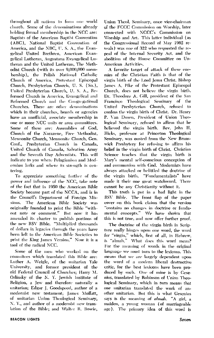throughout all nations to form one world church. Some of the denominations already holding formal membership in the NCC are: Baptists of the American Baptist Convention (ABC), National Baptist Convention of America, and the NBC, U.S. A., the Evangelical United Brethren, American Evangelical Lutheran, Augustana Evangelical Lutheran and the United Lutheran, The Methodist Church (with its over 9,000,000 membership), the Polish National Catholic Church of America, Protestant Episcopal Church, Presbyterian Church, U. S. (So.), United Presbyterian Church, U. S. A., Reformed Church in America, Evangelical and Reformed Church and the Congregational Churches. There are other denominations which in their churches, boards or agencies have an unofficial, associate membership in one or more NCC units or area committees. Some of these are: Assemblies of God, Church of the Narazene, Free Methodist, Mennonite Church, Mennonite Church, Gen. Conf., Presbyterian Church in Canada, United Church of Canada, Salvation Army and the Seventh Day Adventists. This will indicate to you where Pelagianism and Modernism lurks and where its strength is centering.

To appreciate something further of the power and influence of the NCC, take note of the fact that in 1950 the American Bible Society became part of the NCCA, and is in the Council's Department of Foreign Missions. The American Bible Society was originally founded to print the Bible "without note or comment." But now it has amended its charter to publish portions of the new RSV Bible. "Multiplied thousands of dollars in legacies through the years have been left to the American Bible Societies to print the King James Version." Now it is a tool of the radical NCC.

Some of the men who worked on the commitees which translated this Bible are: Luther A. Weigle, of the unitarian Yale University, and former president of the old Federal Council of Churches; Harry M. Orlinsky of the N. Y. Jewish Institute of Religion, a Jew and therefore naturally a unitarian; Edgar J. Goodspeed, author of a modernist new testament; James Moffatt, of unitarian Union Theological Seminary, N. Y., and author of a modernist new translation of the Bible; and Walter R. Bowie,

Union Theol, Seminary, once vice-chairman of the FCCC Commission on Worship, later connected with NCCC's Commission on Worship and Art. This latter individual (as the Congressional Record of May 1962 reveals) was one of 322 who requested the repeal of the Internal Security Act, and the abolition of the House Committee on Un-American Activities.

A favorite target of attack of these enemies of the Christian Faith is that of the virgin birth of the Lord Jesus Christ. Bishop James A. Pike of the Protestant Episcopal Church, does not believe the virgin birth. Dr. Theodore A. Gill, president of the San Francisco Theological Seminary of the United Presbyterian Church, refused to confess the virgin birth of Christ. Dr. Henry P. Van Dusen, President of Union Theological Seminary, refused to affirm that he believed the virgin birth. Rev. John H. Hicks, professor at Princeton Theological Seminary, was ousted from the New Brunswick Presbytery for refusing to affirm his belief in the virgin birth of Christ. Christian Science teaches that the virgin birth is Mary's mental self-conscious conception of and communion with God. Modernists have always attacked or belittled the doctrine of the virgin birth. "Fundamentalists" have made it their one great watchword. There cannot be any Christianity without it.

This truth is put in a bad light in the RSV Bible. The front flap of the paper cover on this book claims that the version "contains no changes in doctrine or fundamental concepts." We have shown that this is not true, and now offer further proof.

The doctrine of the virgin birth in Scripture really hinges upon one word, the word for "virgin," which, first of all, in Hebrew, is "almah," What does this word mean? For the meaning of words in the original language we must turn to the lexicons. This means that we are largely dependent upon the word of a modern liberal destructive critic, for the best lexicons have been produced by such. One of mine is by Gesenius, translated by Robinson of Union Theological Seminary, which in turn means that one unitarian translated the work of another unitarian. But this is what Gesenius says is the meaning of *almah*. "A girl, a maiden, a young woman (of marriageable age). The primary idea of this word is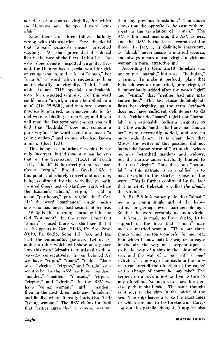not that of unspotted virginity, for which the Hebrews have the special word bethulah."

Now there are three things glaringly wrong with this assertion. First, the denial that "almah" primarily means "unspotted virginity," We shall prove that this denial flies in the face of the facts. It is a lie. The word does denote unspotted virginity. Second, the Hebrew has a special word for girl, or young woman, and it is not "almah," but "naarah," a word which suggests nothing as to chastity or virginity. Third, "bethulah" is not THE special, unmistakable word for unspotted virginity. For this word could mean "a girl, a virgin betrothed to a man" (Dt. 22:23ff), and therefore a woman practically married, as engagements in Israel were as binding as marriage; and if you will read the Deuteronomy context you will find that "bethulah" does not connote a pure virgin. The word could also mean "a young widow," and so one who had known a man. (Joel 1:8).

This being so, unitarian Gesenius is not only incorrect, but dishonest when he says that in the Septuagint (LXX) of Isaiah 7:14, "almah" is incorrectly rendered parthenos, "virgin." For the Greek LXX at this point is absolutely correct and accurate. being confirmed by the verbally, plenarily inspired Greek text of Matthew 1:23, where the Isaianic's "almah," virgin, is said to mean "parthenos," pure virgin! In 2 Cor. 11:2 the word "parthenos," virgin, means one who has never had sexual intercourse.

Well; is this meaning borne out in the Old Testament? In the seven times that "almah" is used there we shall see that it is. It appears in Gen. 24:43, Ex. 2:8. Prov. 30:19, Ps. 68:25, Song 1:3; 6:8; and Isa. 7:14, the culminating passage. Let us examine a table which will show at a glance how this word (almah) is translated in these passages consecutively. In our beloved AV we have "virgin," "maid," "maid," "damsels," "virgins," "virgins," and "virgin" consecutively. In the ASV we have "maiden," "maiden," "maiden," "damsels," "virgins," "virgins," and "virgin." In the RSV we have "young woman," "girl," "maiden," then in the next three instances "maidens," and finally, where it really hurts (Isa. 7:14) "young woman." The RSV claims for itself that "crities agree that it is more accurate

than any previous translation." The above shows that the opposite is the case with respect to the translation of "almah." The AV is the most accurate, the ASV is next and the RSV is the least accurate of the three. In fact, it is definitely inaccurate, as "almah" never means a married woman, and always means a true virgin, a virtuous woman, a pure, attractive girl.

According to Gen. 24:16 Rebekah was not only a "naarah," but also a "bethulah," a virgin. To make it perfectly plain that Rebekah was an unmarried, pure virgin, it is immediately added after the words "girl" and "virgin," that "neither had any man known her." This last clause definitely affirms her virginity, as the term bethulah does not have sufficient definiteness to do that. Neither do "naara" (girl) nor "bethulah" unquestionably indicate virginity, so that the words "neither had any man known her" were necessarily added, and are no mere redundancy. It is clear then that Moses, the writer of this passage, did not intend the broad sense of "bethulah," which includes betrothed maidens and widows, but the narrow sense originally limited to the term "virgin." Thus the noun "bethulah" in this passage is so qualified as to mean virgin in the strictest sense of the word. This is further confirmed by the fact that in 24:43 Rebekah is called the almah, the virgin!

In Ex. 2:8 it is rather plain that "almah" means a young single girl of the babysitting, or perhaps even marriageable age. So that the word certainly means a virgin.

Reference is made to Prov. 30:18, 19 in support of the idea that "almah" may mean a married woman. "There are three things which are too wonderful for me, yea, four which I know not: the way of an eagle in the air; the way of a serpent upon a rock; the way of a ship in the midst of the sea; and the way of a man with a maid (virgin)." The way of an eagle in the  $air$ who can foretell the direction of the eagle? or the change of course he may take? The serpent on a rock is just as free to turn in any direction. No man can know the precise path it shall take. The same thought continues in the ship in the midst of the sea. The ship leaves a wake the exact lines of which are not to be foreknown. Carrying out this parallel thought, it applies also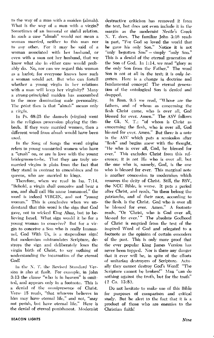to the way of a man with a maiden (almah). What is the way of a man with a virgin? Sometimes of an immoral or sinful relation. In such a case "almah" would not mean a woman married, neither to this man nor to any other. For it may be said of a woman associated with her husband, or even with a man not her husband, that we know what she in either case would probably do. No, nor can we regard this woman as a harlot; for everyone knows how such a woman would act. But who can fortell whether a young virgin in her relations with a man will keep her virginity? Many a strong-principled maiden has succumbed to the more dominating male personality. The point then is that "almah" means only a virgin.

In Ps. 68:25 the damsels (virgins) went in the religious procession playing the timbrels. If they were married women, then a different word from almah would have been nsed.

In the Song of Songs the word virgins refers to young unmarried women who have a "crush" on, or are in love with the young bridegroom-to-be. That they are truly unmarried virgins is plain from the fact that they stand in contrast to concubines and to queens, who are married to kings.

Therefore, when we read in Isa. 7:14, "Behold, a virgin shall conceive and bear a son, and shall call His name Immanuel." the word is indeed VIRGIN, and not "young woman." This is conclusive when we understand that this word is the sign that God gave, not to wicked King Ahaz, but to believing Israel. What sign would it be for a young woman to conceive? But for a virgin to conceive a Son who is really Immanuel, God With Us, is a stupendous sign! But modernism mistranslates Scripture, destroys the sign and deliberately loses the virgin birth of Christ, to say nothing of understanding the incarnation of the eternal God!

In the N. T. the Revised Standard Version is also at fault. For example, in John 3:13 the clause "who is in heaven" is omitted, and appears only in a footnote. This is a denial of the onmipresence of Christ. Verse 15 reads, "that whoever believes in him may have eternal life," and not, "may not perish, but have eternal life." Here is the denial of eternal punishment. Modernist destructive criticism has removed it from the text, but does not even include it in the margin as the modernist Nestle's Greek N. T. does. The familiar John 3:16 reads in part, "For God so loved the world that he gave his only Son." Notice it is not "only begotten Son" - simply "only Son." This is a denial of the eternal generation of the Son of God. In 1:14, we read "glory as the only Son from the Father." The word Son is not at all in the text; it is only begotten. Here is a change in doctrine and fundamental concept! The eternal generation of the ontological Son is denied and dropped.

In Rom. 9:5 we read, "Whose are the fathers, and of whom as concerning the flesh Christ came, who is over all, God blessed for ever. Amen." The ASV follows the Gk. N. T.: "of whom is Christ as concerning the flesh, who is over all. God blessed for ever. Amen." But there is a note in the ASV which puts a semicolon after "flesh" and begins anew with the thought, "He who is over all, God, be blessed for ever." This excludes Christ from this reference; it is not He who is over all, but the one who is, namely, God, is the one who is blessed for ever. This marginal note is another concession to modernism which removes the deity of Christ. Still, the RSV, the NCC Bible, is worse. It puts a period after Christ, and reads, "to them belong the patriarchs, and of their race, according to the flesh, is the Christ. God who is over all be blessed for ever. Amen." A footnote reads, "Or 'Christ, who is God over all, blessed for ever.'" The absolute Godhood of Christ is emptied from the text of the inspired Word of God and relegated to a footnote as the opinion of certain emenders of the past. This is only more proof that the ever popular King James Version has never been topped. Nor is there any danger that it ever will be, in spite of the efforts of unitarian destroyers of Scripture. Actually they cannot destroy God's Word! "The Scripture cannot be broken!" Man "can do nothing against the truth, but for the truth"  $(2 \text{ Co. } 13:8).$ 

Do not hesitate to make use of this Bible for purposes of comparison and critical study. But be alert to the fact that it is a product of those who are enemies to the Christian faith!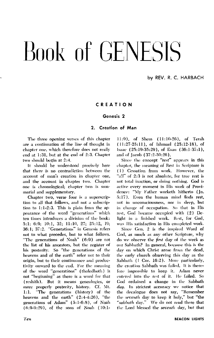# Book of GENESIS

by REV. R. C. HARBACH

#### CREATION

#### Genesis<sub>2</sub>

#### 2. Creation of Man

The three opening verses of this chapter are a continuation of the line of thought in chapter one, which therefore does not really end at 1:31, but at the end of 2:3. Chapter two should begin at 2:4.

It should be understood precisely here that there is no contradiction between the account of man's creation in chapter one, and the account in chapter two. Chapter one is chronological; chapter two is summarial and supplementary.

Chapter two, verse four is a superscription to all that follows, and not a subscription to 1:1-2:3. This is plain from the appearance of the word "generations" which ten times introduces a division of the book: 5:1; 6:9; 10:1, 32; 11:10, 27; 25:12, 19; 36:1; 37:2. "Generations" in Genesis refers not to what precedes, but to what follows. "The generations of Noah" (6:9) are not the list of his ancestors, but the register of his posterity. So "the generations of the heavens and of the earth" refer not to their origin, but to their continuance and productivity onward to the end. For the meaning of the word "generations" (tholedhoth) is not "beginning" as there is a word for that (reshith). But it means genealogies, or more properly posterity, history. Cf. Mt. "The generations (history) of the  $1:1.$ heavens and the earth"  $(2:4-4:26)$ , "the generations of Adam" (5:1-6:8), of Noah  $(6:9-9:29)$ , of the sons of Noah  $(10:1-$ 

11:9), of Shem (11:10-26), of Terah (11:27-25:11), of Ishmael (25:12-18), of Isaac (25:19-35:29), of Esau (36:1-37:1), and of Jacob (37:2-50:26).

Since the concept "rest" appears in this chapter, the meaning of Rest in Scripture is (1) Cessation from work, However, the "a!l" of 2:3 is not absolute, for true rest is not total inaction, or doing nothing. God is active every moment in His work of Providence: "My Father worketh hitherto (Jn. 5:17). Even the human mind finds rest, not in unconsciousness, nor in sleep, but in change of occupation. So that in His rest, God became occupied with (2) Delight in a finished work. Rest, for God, was His satisfaction in His completed work.

Since Gen. 2 is the inspired Word of God, as much as any other Scripture, why do we observe the first day of the week as our Sabbath? In general, because this is the day on which Christ arose from the dead, the early church observing this day as the Sabbath (1 Cor. 16:2). More particularly, the creation Sabbath was failed. It is therefore impossible to keep it. Adam never entered into the rest of it. He failed. So God ordained a change in the Sabbath day. In strictest accuracy we notice that the decalogue does not say, "Remember the seventh day to keep it holy," but "the "sabbath day." We do not read there that the Lord blessed the seventh day, but that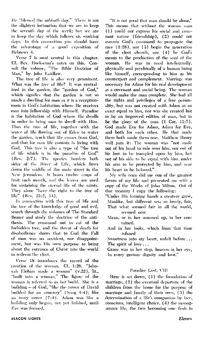He "blessed the sabbath day," There is not the slightest intimation that we are to keep the seventh day of the *week*; but we are to keep the day which follows six working days. In this connection you should have the advantage of a good exposition of Hebrews 4.

Verse 7 is most central in this chapter. Cf. Rev. Hoeksema's notes on this. Consult the volume, "The Bible Doctrine of Man," by John Laidlaw.

The tree of life is also very prominent. What was the tree of life? It was centralized in the garden, the "garden of God," which signifies that the garden is not so much a dwelling for man as it is a receptionroom in God's habitation where He receives man into fellowship with Himself. Paradise is the habitation of God where He dwells in order to bring man to dwell with Him. Thus the tree of life, together with the water of life flowing out of Eden to water the garden, teach that life comes from God, and that for man life consists in living with God. This tree is also a type of "the tree of life which is in the paradise of God" (Rev. 2:7). The species borders both sides of the River of Life, which flows down the middle of the main street in the New Jerusalem, It bears twelve crops of fruit each month, and the leaves are used for sustaining the eternal life of the saints. They alone "have the right to the tree of life" (Rev. 22:2, 14).

In connection with this tree of life and the tree of the knowledge of good and evil, search through the volumes of The Standard Bearer and study the doctrine of the antithesis. The command not to eat of the forbidden tree, and the threat of death for disobedience shows that to God the Fall of man was no accident, nor disappointment, but was His own purpose to bring about the entrance of Christ into the world to redeem the elect.

Verse 18 introduces the record of the creation of the woman. Cf. 1:26. "Jehovah Elohim made a woman" (v.22), lit., "built into a woman," The figure of the woman is referred to as her build. She is a building - of God, "like the tower of David builded for an armoury" (Song 4:4); like an ivory tower (7:4). Adam was like a building only begun, not yet finished, until Eve was formed,

"It is not good that man should be alone." This means that without the woman man (1) could not express his social and covenant nature (friendship), (2) could not execute God's command to propagate the race  $(1:28)$ , nor  $(3)$  begin the generation of the elect church, nor (4) be God's means to the production of the seed of the woman. He was in need intellectually. physically and psychically of a human being like himself, corresponding to him as his counterpart and complement. Marriage was necessary for Adam for his real development as a covenant and social being. The woman would make the man complete. She had all the rights and privileges of a free personality, but was not created with Adam as an exact equal to him, nor was she created last to be an improved edition of man, but to be the glory of the man (I Cor, 11:7). God made Eve for Adam, Adam for Eve, and both for each other. He that made them both made them one. Matthew Henry well puts it: The woman was "not made out of his head to rule over him, nor out of his feet to be trampled upon by him, but out of his side to be equal with him, under his arm to be protected by him, and near his heart to be beloved."

My wife once did me one of the greatest favors of my life and presented me with a copy of the Works of John Milton. Out of that treasury I copy the following:

"Under His forming hands a creature grew, Manlike, but different sex; so lovely, fair, That what seemed fair in all the world, seemed now

Mean, or in her summed up, in her contained.

And in her looks, which from that time infused

Sweetness into my heart, unfelt before... The spirit of love  $\dots$ 

Grace was in her step, heaven in her eye, In every gesture dignity and love."

#### Paradise Lost, VIII

Here is set down, (1) the foundation of marriage, (2) the eventual departure of the children from the home for the purpose of marriage and family of their own, (3) the determination of a life's companion by free, conscious, intelligent choice, (4) the monogamous life, the two becoming one flesh in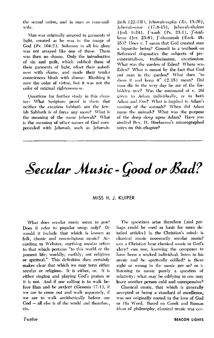the sexual union, and in man as man-andwife.

Man was originally arrayed in garments of light, created as he was in the image of God (Ps. 104:2). Solomon in all his glory was not arrayed like one of these. There was then no shame. Only the introduction of sin and guilt, which robbed them of their garments of light, offset their nakedness with shame, and made their tender consciences blush with shame. Blushing is now the color of virtue, but it was not the color of original righteousness.

Questions for further study in this chapter: What Scripture proof is there that neither the creation Sabbath nor the Jewish Sabbath is of force any more? What is the meaning of the name Jehovah? What is the meaning of other names of God compounded with Jehovah, such as Jehovahjireh (22:13f), Jehovah-rapha (Ex. 15:26), Jehovah-nissi (17:8-15), Jehovah-shalom (Jud. 6:24), J'-raah (Ps. 23:1), J'-tsidkenu (Jer. 23:6), J'-shammah (Ezek. 48: 35)? Does v. 7 mean that God created man a bipartite being? Consult in a textbook on Reformed dogmatics the subjects of preexistentialism, traducianism, creationism. What was the garden of Eden? Where was Eden? What is meant by the fact that God put man in the garden? What does "to dress it and keep it"  $(2:15)$  mean? Did man die in the very day he ate of the forbidden tree? Was the command of v. 16f given to Adam individually, or to both Adam and Eve? What is implied in Adam's naming of the animals? When did Adam name the animals? What was the purpose of the deep sleep upon Adam? Have you studied Rev. H. Hoeksema's mimeographed notes on this chapter?

## Secular Music - Good or Bad?

#### MISS H. J. KUIPER

What does secular music mean to you? Does it refer to popular songs only? Or would it include that which is known as folk, classic and non-religious music? According to Webster, anything secular refers to that which pertains "to this world or the present life; worldly; earthly; not religious or spiritual." This definition then certainly makes clear that which we may term either secular or religious. It is either, or. It is either singing and playing God's praises or it is not. And if our calling is to walk before Him and be *perfect* (Genesis 17:1), if we are to come out and walk separately, if we are to walk antithetically before our God - all else is of the world and therefore, sin.

The questions arise therefore (and perhaps could be used as basis for more detailed articles) in the Christian's mind: is classical music necessarily secular music? can a Christian hear classical music to God's glory? can one, knowing the composer to have been a wicked individual, listen to his music and be spiritually edified? is there right or wrong in the music per se? or is listening to music purely a question of relativity: what may be edifying to one may leave another person cold and unresponsive?

Classical music, that which is generally accepted as being a standard of excellence, was not originally rooted in the love of God or His Word. Based on Greek and Roman ideas of philosophy, classical music was cer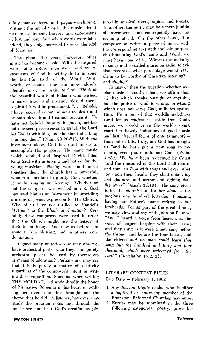tainly man-centered and pagan-worshiping. Without the use of words, this music stirred men to excitement, bravery and expressions of lust and joy. And when words were later added, they only increased to serve the idol of Mammon.

Throughout the years, however, other music has become classic. With the inspired words of Scripture, men were used as instruments of God in setting forth in song the beautiful truth of the Word. With words, of course, one can more closely identify music and praise to God. Think of the beautiful words of Balaam who wished to curse Israel and instead, blessed them. Against his will he proclaimed, ". . . Behold, I have received commandment to bless: and he hath blessed; and I cannot reverse it. He hath not beheld iniquity in Jacob, neither hath he seen perverseness in Israel: the Lord his God is with him, and the shout of a king is among them" (Num, 23:20-21). With the instrument alone, God has used music to accomplish His purpose. The same music which soothed and inspired David, filled King Saul with misgiving and hatred for the young musician. Placing words and music together then, the church has a powerful, wonderful medium to glorify God, whether it be by singing or listening. Whether or not the composer was wicked or not, God has used him as an instrument in providing a means of joyous expression for His Church. Who of us have not thrilled to Handel's Messiah? to the Elijah or Creation? Certainly these composers were used in order that the Church might use the legacy of their talent today. And now as before - to some it is a blessing, and to others, condemnation.

A good many oratorios, one may observe, have orchestral parts. Can they, and purely orchestral pieces, be used by themselves as means of adoration? Perhaps one may say that this is purely a matter of relativity regardless of the composer's intent in writing the composition. Smetana, when writing THE MOLDAU, had undoubtedly the honor of his native Bohemia in his heart in exalting her rivers and thus brought out the theme that he did. A listener, however, may study the program notes and through the music see and hear God's creation as pic-

tured in musical rivers, rapids, and forests. To another, the music may be a mere jumble of instruments and consequently have no meaning at all. On the other hand, if a composer so writes a piece of music with the corresponding text with the sole purpose of dishonoring God's name and Word, we must have none of it. Witness the majority of songs and so-called music on radio, television, records - what percentage would YOU claim to be worthy of Christian listening?  $$ and singing?

To answer then the question whether secular music is good or bad, we affirm this: all that which speaks outright of anything but the praise of God is wrong. Anything which does not serve God, militates against Him. From out of that worldlimindedness (and let us confess it - aside from God's grace, we would crave the world's songs, court her bawdy imitations of good music and lust after all forms of entertainment) from out of this, I say, our God has brought us "and he hath put a new song in my mouth, even praise unto our God" (Psalm 40:3). We have been redeemed by Christ "and the ransomed of the Lord shall return. and come to Zion with songs and everlasting joy upon their heads; they shall obtain joy and gladness, and sorrow and sighing shall flee away" (Isaiah 35:10). The song given is for the *church* and for her *alone* - the precious one hundred forty-four thousand. having our Father's name written in our foreheads. For as part of the great throng, we may view and say with John on Patmos: "And I heard a voice from heaven, as the voice of harpers harping with their harps: and they sung as it were a new song before the throne, and before the four beasts, and the elders: and no man could learn that song but the hundred and forty and four thousand, which were redeemed from the carth" (Revelation 14:2, 3).

#### LITERARY CONTEST RULES

Due Date - February 1, 1962

- 1. Any Beacon Lights reader who is either a baptized or confessing member of the Protestant Reformed Churches may enter.
- 2. Entries may be submitted in the three following categories: poetry, prose fic-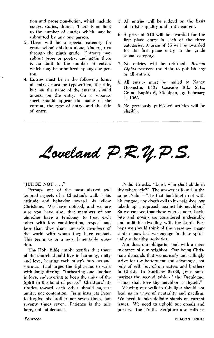tion and prose non-fiction, which include essays, stories, drama. There is no limit to the number of entries which may be submitted by any one person.

- 3. There will be a special category for grade school children alone, kindergarten through the ninth grade. Entrants may submit prose or poetry, and again there is no limit to the number of entries which may be submitted by any one person.
- 4. Entries must be in the following form: all entries must be typewritten; the title, but not the name of the entrant, should appear on the entry. On a separate sheet should appear the name of the entrant, the type of entry, and the title of entry.
- 5. All entries will be judged on the basis of artistic quality and truth content.
- 6. A prize of \$10 will be awarded for the first place entry in each of the three categories. A prize of \$5 will be awarded for the first place entry in the grade school category.
- 7. No entries will be returned. **Beacon** Lights reserves the right to publish any or all entries.
- 8. All entries must be mailed to Nancy Heemstra, 6405 Cascade Rd., S.E., Grand Rapids 6, Michigan, by February 1, 1963.
- 9. No previously published articles will be eligible.

## Loveland P.R.Y.P.S.

#### "JUDGE NOT  $\ldots$ "

Perhaps one of the most abused and ignored aspects of a Christian's walk is his attitude and behavior toward his fellow Christians. We have noticed, and we are sure you have also, that members of our churches have a tendency to treat each other with less consideration, respect and love than they show towards members of the world with whom they have contact. This seems to us a most lamentable situation.

The Holy Bible amply testifies that those of the church should live in harmony, unity and love, bearing each other's burdens and sorrows. Paul urges the Ephesians to walk with longsuffering, "forbearing one another in love, endeavoring to keep the unity of the Spirit in the bond of peace." Christians' attitudes toward each other should suggest amity, not contention. Jesus instructs Peter to forgive his brother not seven times, but seventy times seven. Patience is the rule here, not intolerance.

Psalm 15 asks, "Lord, who shall abide in thy tabernacle?" The answer is found in the same Psalm - "He that backbiteth not with his tongue, nor doeth evil to his neighbor, nor taketh up a reproach against his neighbor." So we can see that those who slander, backbite and gossip are considered undesirable and unfit for dwelling with the Lord. Perhaps we should think of this verse and many similar ones lest we engage in these spiritually unhealthy activities.

Nor does our obligation end with a mere tolerance of our neighbor. Our being Christians demands that we *actively* and willingly strive for the betterment and advantage, not only of self, but of our sisters and brothers in Christ. In Matthew 22:39, Jesus summarizes the second table of the Decalogue, "Thou shalt love thy neighbor as thyself."

Viewing our walk in this light should not lead us in ways of neutrality and pacifism. We need to take definite stands on current issues. We need to uphold our creeds and preserve the Truth. Scripture also calls us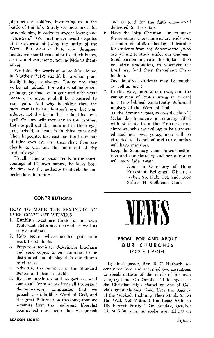pilgrims and soldiers, instructing us in the battle of this life. Surely we must never let principle slip, in order to appear loving and "Christian." We must never avoid disputes at the expense of losing the purity of the Word. But, even in these valid disagreements, we should remember to attack issues, actions and statements, not individuals themselves.

We think the words of admonition found in Matthew 7:1-5 should be applied practically today, as always. "Judge not, that ye be not judged. For with what judgment ye judge, ye shall be judged: and with what measure ye mete, it shall be measured to you again. And why beholdest thou the mote that is in thy brother's eye, but considerest not the beam that is in thine own eye? Or how wilt thou say to thy brother, Let me pull out the mote out of thine eye; and, behold, a beam is in thine own eye? Thou hypocrite. first cast out the beam out of thine own eye and then shalt thou see clearly to cast out the mote out of thy brother's eve."

Usually when a person tends to the shortcomings of his own nature, he lacks both the time and the audacity to attack the imperfections in others.

#### **CONTRIBUTIONS**

HOW TO MAKE THE SEMINARY AN **EVER CONSTANT WITNESS** 

- 1. Establish assistance funds for our own Protestant Reformed married as well as single students.
- 2. Help secure where needed part time work for students.
- 3. Prepare a seminary descriptive brochure and send copies to our churches to be distributed and displayed in our church tract racks.
- 4. Advertise the seminary in the Standard Bearer and Beacon Lights.
- 5. By our brochures and magazines, send out a call for students from all Protestant denominations. **Emphasize** that we preach the infallible Word of God, and the great Reformation theology; that we separate from the modernist, liberalist ecumenical movement; that we preach

and contend for the faith once-for-all delivered to the saints.

6. Have the lofty Christian aim to make the seminary a real missionary endeavor, a center of biblical-theological learning for students from any denomination, who are willing to study under our God-centered curriculum, earn the diploma then go, after graduation, to wherever the Lord may lead them throughout Christendom.

One hundred students may be taught as well as one!!

7. In this way, interest our own, and the young men of Protestantism in general in a true biblical consistently Reformed ministry of the Word of God.

As the Seminary goes, so goes the church! Make the Seminary a seminary filled with students from the Protestant churches, who are willing to be instructed and our own young men will be attracted to the school and our churches will have ministers.

Keep the Seminary a one-student institution and our churches and our ministers will soon fade away.

> Done in Consistory of Hope Protestant Reformed Church Isabel, So. Dak. Oct. 2nd. 1962 Milton H. Collmann Clerk



#### FROM, FOR AND ABOUT OUR CHURCHES LOIS E. KREGEL

Lynden's pastor, Rev. R. C. Harbach, recently received and accepted two invitations to speak outside of the circle of his own congregation. On October 11 he spoke at the Christian High chapel on one of Calvin's great themes "God Uses the Agency of the Wicked, Inclining Their Minds to Do His Will, Yet Without the Least Stain to His Perfect Purity." On Sunday, October 14, at 5:30 p.m. he spoke over KPUG on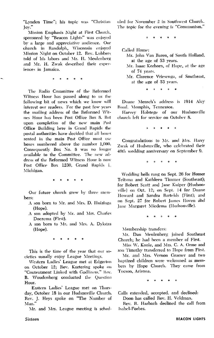"Lynden Time"; his topic was "Christian lov."

Mission Emphasis Night at First Church, sponsored by "Beacon Lights" was enjoyed by a large and appreciative audience. Our church in Randolph, Wisconsin enjoyed Mission Night on October 12. Rev. Lubbers told of his labors and Mr. H. Meulenberg and Mr. H. Zwak described their experiences in Jamaica.

The Radio Committee of the Reformed Witness Hour has passed along to us the following bit of news which we know will interest our readers. For the past few years the mailing address of the Reformed Witnes Hour has been Post Office Box 8. But upon completion of the new main Post Office Building here in Grand Rapids the postal authorities have decided that all boxes rented in the main Post Office must use boxes numbered above the number 1,000. Consequently Box No. 8 was no longer available to the Committee. The new address of the Reformed Witness Hour is now Post Office Box 1230, Grand Rapids 1, Michigan.

ė.

Our future church grew by three memhers.

- A son born to Mr. and Mrs. D. Huizinga (Hope).
- A son adopted by Mr. and Mrs. Charles Doezema (First).
- A son born to Mr. and Mrs. A. Dykstra (Hope).

 $\bullet$ 

This is the time of the year that our societies usually enjoy League Meetings.

Western Ladies' League met at Edgerton on October 12; Rev. Kortering spoke on "Contentment Linked with Godliness." Rev. B. Woudenberg conducted the Question Hour.

Eastern Ladies' League met on Thursdav, October 18 in our Hudsonville Church. Rev. J. Heys spoke on "The Number of Man."

Mr. and Mrs. League meeting is sched-

uled for November 2 in Southwest Church. The topic for the evening is "Communism."

Called Home:

- Mr. John Van Baren, of South Holland, at the age of 53 years.
- Mr. Isaac Korhorn, of Hope, at the age of 74 years.
- Mr. Clarence Vriesenga, of Southeast, at the age of 53 years.

 $\ddot{\phantom{a}}$  $\bullet$  $\overline{a}$ 

Duane Mensch's address is 1914 Alcy Road, Memphis, Tennessee.

Harvey Holstege of our Hudsonville church left for service on October 8.

Congratulations to Mr. and Mrs. Harry Zwak of Hudsonville, who celebrated their 40th wedding anniversary on September 9.

> $\ddot{\phantom{a}}$ ä  $\bullet$  $\bullet$  $\bullet$

Wedding bells rang on Sept. 26 for Homer Teitsma and Kathleen Timmer (Southeast); for Robert Scott and Jane Kuiper (Hudsonville) on Oct. 12; on Sept. 14 for Duane Howard and Sandra Bartelds (First); and on Sept. 27 for Robert James Hoven and Jane Margaret Miedema (Hudsonville).

 $\Delta$ 

Membership transfers:

Mr. Dan Meulenberg joined Southeast Church; he had been a member of First.

Miss W. Koole, and Mrs. C. A. Orme and son Timothy transferred to Hope from First.

Mr. and Mrs. Vernon Graeser and two baptized children were welcomed as members by Hope Church. They came from Tucson, Arizona.

Calls extended, accepted, and declined:

Doon has called Rev. H. Veldman.

Rev. R. Harbach declined the call from Isabel-Forbes.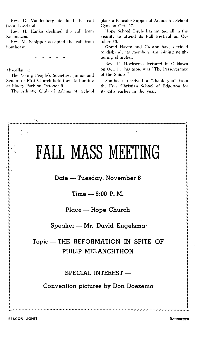Rev. G. Vandenberg declined the call from Loveland.

Rev. H. Hanko declined the call from Kalamazoo.

Rev. M. Schipper accepted the call from Southeast.

Miscellanea:

The Young People's Societies, Junior and Senior, of First Church held their fall outing at Pinery Park on October 9.

The Athletic Club of Adams St. School

plans a Pancake Supper at Adams St. School Gym on Oct. 27.

Hope School Circle has invited all in the vicinity to attend its Fall Festival on October 26.

Grand Haven and Creston have decided to disband; its members are joining neighboring churches.

Rev. H. Hocksema lectured in Oaklawn on Oct. 11: his topic was "The Perseverance of the Saints."

Southeast received a "thank you" from the Free Christian School of Edgerton for its gifts earlier in the vear.